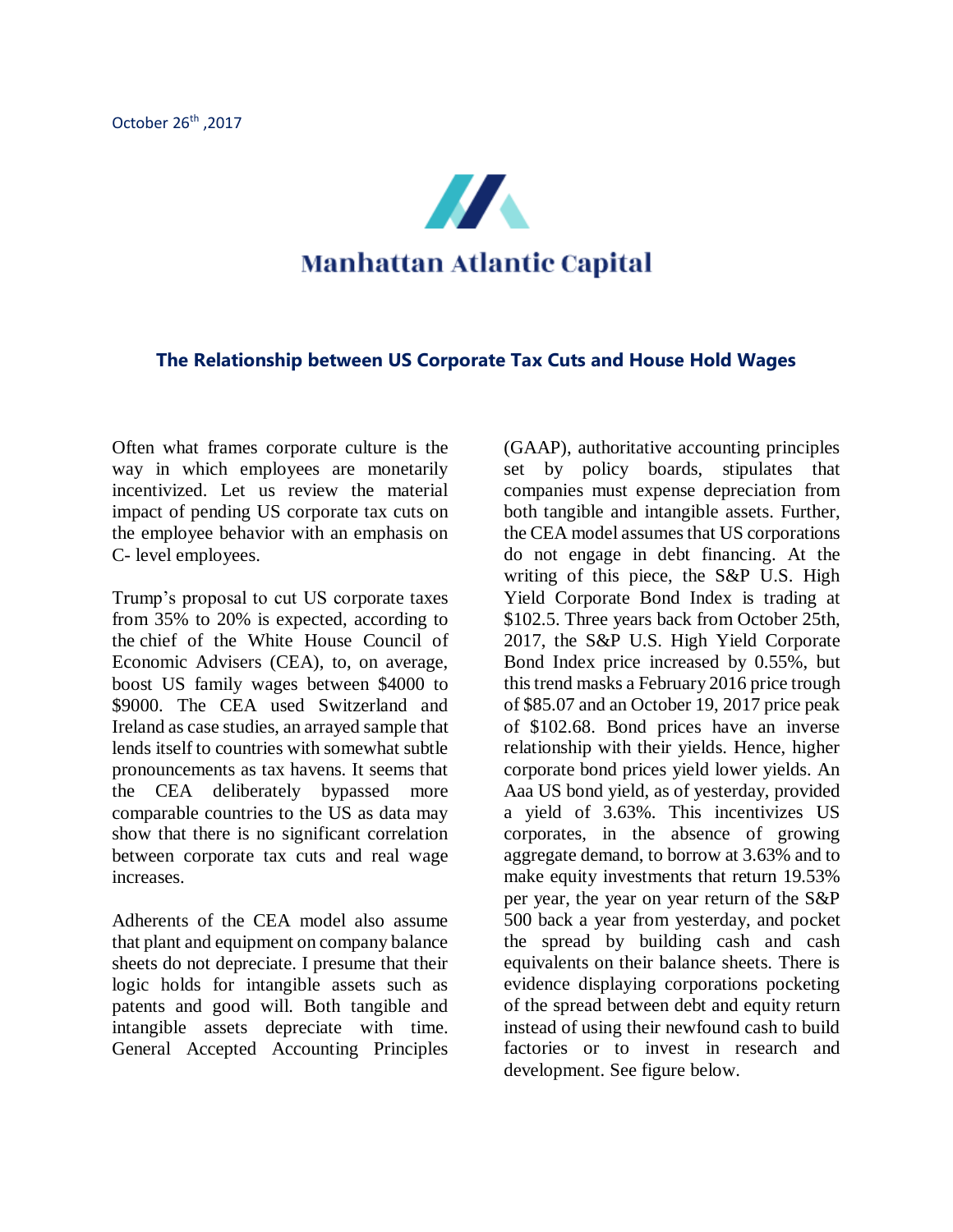

## **The Relationship between US Corporate Tax Cuts and House Hold Wages**

Often what frames corporate culture is the way in which employees are monetarily incentivized. Let us review the material impact of pending US corporate tax cuts on the employee behavior with an emphasis on C- level employees.

Trump's proposal to cut US corporate taxes from 35% to 20% is expected, according to the chief of the White House Council of Economic Advisers (CEA), to, on average, boost US family wages between \$4000 to \$9000. The CEA used Switzerland and Ireland as case studies, an arrayed sample that lends itself to countries with somewhat subtle pronouncements as tax havens. It seems that the CEA deliberately bypassed more comparable countries to the US as data may show that there is no significant correlation between corporate tax cuts and real wage increases.

Adherents of the CEA model also assume that plant and equipment on company balance sheets do not depreciate. I presume that their logic holds for intangible assets such as patents and good will. Both tangible and intangible assets depreciate with time. General Accepted Accounting Principles

(GAAP), authoritative accounting principles set by policy boards, stipulates that companies must expense depreciation from both tangible and intangible assets. Further, the CEA model assumes that US corporations do not engage in debt financing. At the writing of this piece, the S&P U.S. High Yield Corporate Bond Index is trading at \$102.5. Three years back from October 25th, 2017, the S&P U.S. High Yield Corporate Bond Index price increased by 0.55%, but this trend masks a February 2016 price trough of \$85.07 and an October 19, 2017 price peak of \$102.68. Bond prices have an inverse relationship with their yields. Hence, higher corporate bond prices yield lower yields. An Aaa US bond yield, as of yesterday, provided a yield of 3.63%. This incentivizes US corporates, in the absence of growing aggregate demand, to borrow at 3.63% and to make equity investments that return 19.53% per year, the year on year return of the S&P 500 back a year from yesterday, and pocket the spread by building cash and cash equivalents on their balance sheets. There is evidence displaying corporations pocketing of the spread between debt and equity return instead of using their newfound cash to build factories or to invest in research and development. See figure below.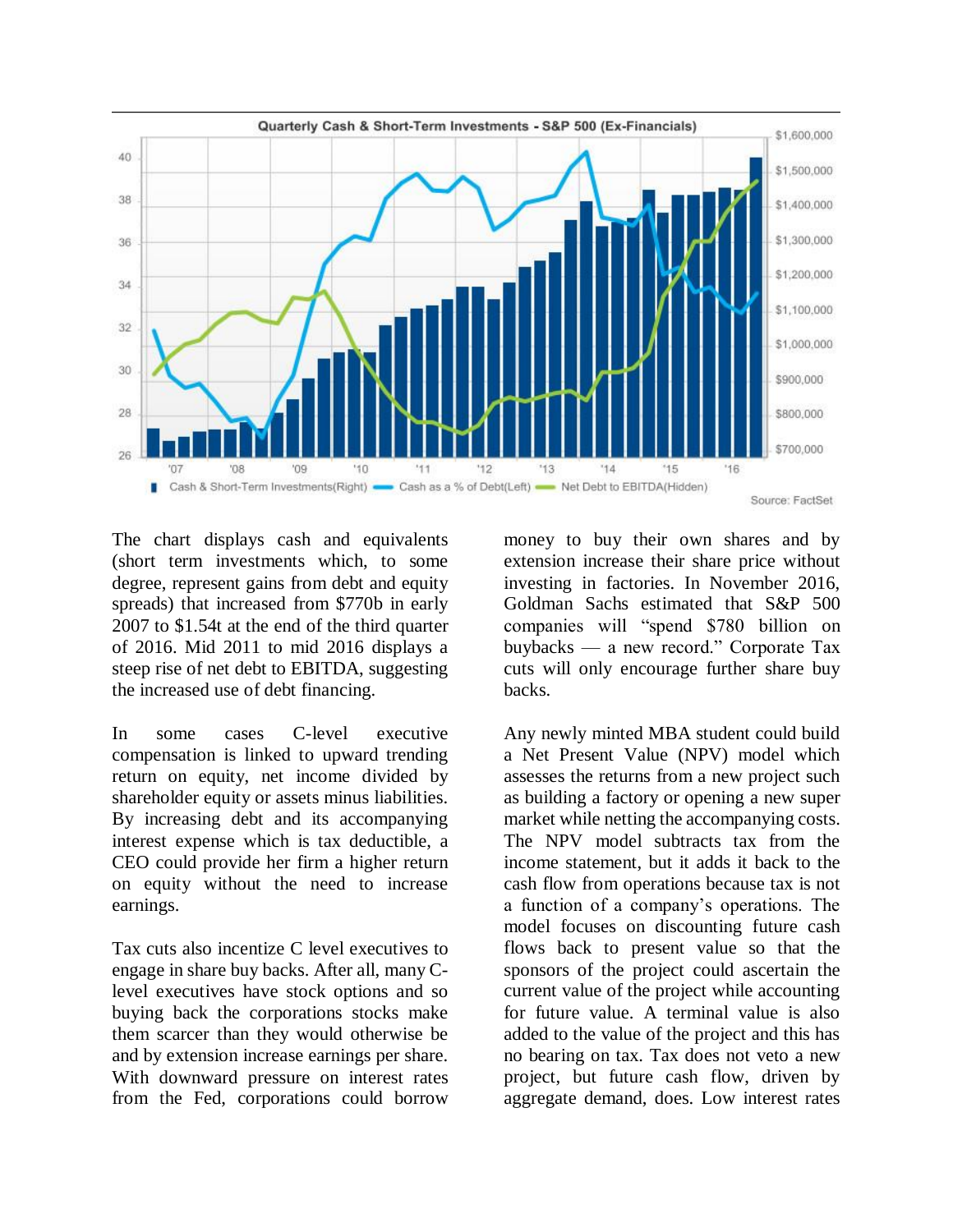

The chart displays cash and equivalents (short term investments which, to some degree, represent gains from debt and equity spreads) that increased from \$770b in early 2007 to \$1.54t at the end of the third quarter of 2016. Mid 2011 to mid 2016 displays a steep rise of net debt to EBITDA, suggesting the increased use of debt financing.

In some cases C-level executive compensation is linked to upward trending return on equity, net income divided by shareholder equity or assets minus liabilities. By increasing debt and its accompanying interest expense which is tax deductible, a CEO could provide her firm a higher return on equity without the need to increase earnings.

Tax cuts also incentize C level executives to engage in share buy backs. After all, many Clevel executives have stock options and so buying back the corporations stocks make them scarcer than they would otherwise be and by extension increase earnings per share. With downward pressure on interest rates from the Fed, corporations could borrow

money to buy their own shares and by extension increase their share price without investing in factories. In November 2016, Goldman Sachs estimated that S&P 500 companies will "spend \$780 billion on buybacks — a new record." Corporate Tax cuts will only encourage further share buy backs.

Any newly minted MBA student could build a Net Present Value (NPV) model which assesses the returns from a new project such as building a factory or opening a new super market while netting the accompanying costs. The NPV model subtracts tax from the income statement, but it adds it back to the cash flow from operations because tax is not a function of a company's operations. The model focuses on discounting future cash flows back to present value so that the sponsors of the project could ascertain the current value of the project while accounting for future value. A terminal value is also added to the value of the project and this has no bearing on tax. Tax does not veto a new project, but future cash flow, driven by aggregate demand, does. Low interest rates